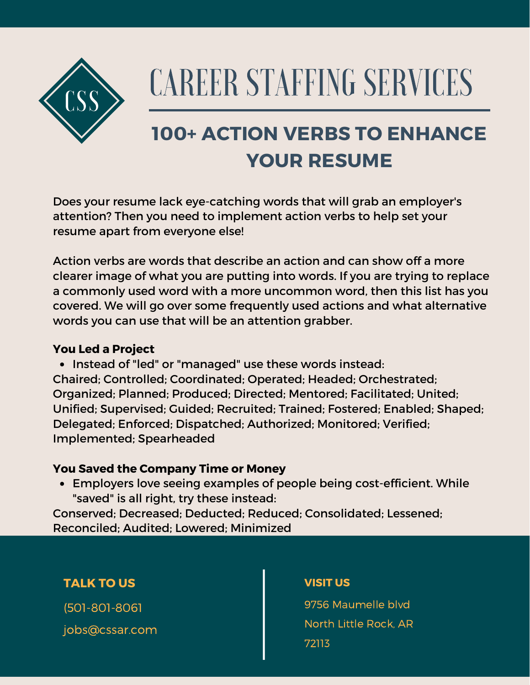

# CAREER STAFFING SERVICES

## **100+ ACTION VERBS TO ENHANCE YOUR RESUME**

Does your resume lack eye-catching words that will grab an employer's attention? Then you need to implement action verbs to help set your resume apart from everyone else!

Action verbs are words that describe an action and can show off a more clearer image of what you are putting into words. If you are trying to replace a commonly used word with a more uncommon word, then this list has you covered. We will go over some frequently used actions and what alternative words you can use that will be an attention grabber.

#### **You Led a Project**

• Instead of "led" or "managed" use these words instead: Chaired; Controlled; Coordinated; Operated; Headed; Orchestrated; Organized; Planned; Produced; Directed; Mentored; Facilitated; United; Unified; Supervised; Guided; Recruited; Trained; Fostered; Enabled; Shaped; Delegated; Enforced; Dispatched; Authorized; Monitored; Verified; Implemented; Spearheaded

#### **You Saved the Company Time or Money**

Employers love seeing examples of people being cost-efficient. While "saved" is all right, try these instead:

Conserved; Decreased; Deducted; Reduced; Consolidated; Lessened; Reconciled; Audited; Lowered; Minimized

### **TALK TO US**

(501-801-8061 jobs@cssar.com

#### **VISIT US**

9756 Maumelle blvd North Little Rock, AR 72113